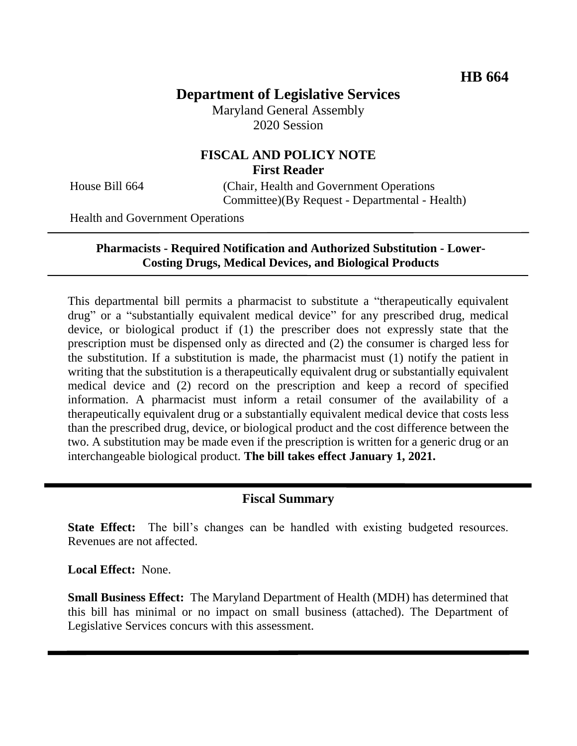# **Department of Legislative Services**

Maryland General Assembly 2020 Session

## **FISCAL AND POLICY NOTE First Reader**

House Bill 664 (Chair, Health and Government Operations Committee)(By Request - Departmental - Health)

Health and Government Operations

### **Pharmacists - Required Notification and Authorized Substitution - Lower-Costing Drugs, Medical Devices, and Biological Products**

This departmental bill permits a pharmacist to substitute a "therapeutically equivalent drug" or a "substantially equivalent medical device" for any prescribed drug, medical device, or biological product if (1) the prescriber does not expressly state that the prescription must be dispensed only as directed and (2) the consumer is charged less for the substitution. If a substitution is made, the pharmacist must (1) notify the patient in writing that the substitution is a therapeutically equivalent drug or substantially equivalent medical device and (2) record on the prescription and keep a record of specified information. A pharmacist must inform a retail consumer of the availability of a therapeutically equivalent drug or a substantially equivalent medical device that costs less than the prescribed drug, device, or biological product and the cost difference between the two. A substitution may be made even if the prescription is written for a generic drug or an interchangeable biological product. **The bill takes effect January 1, 2021.**

### **Fiscal Summary**

**State Effect:** The bill's changes can be handled with existing budgeted resources. Revenues are not affected.

**Local Effect:** None.

**Small Business Effect:** The Maryland Department of Health (MDH) has determined that this bill has minimal or no impact on small business (attached). The Department of Legislative Services concurs with this assessment.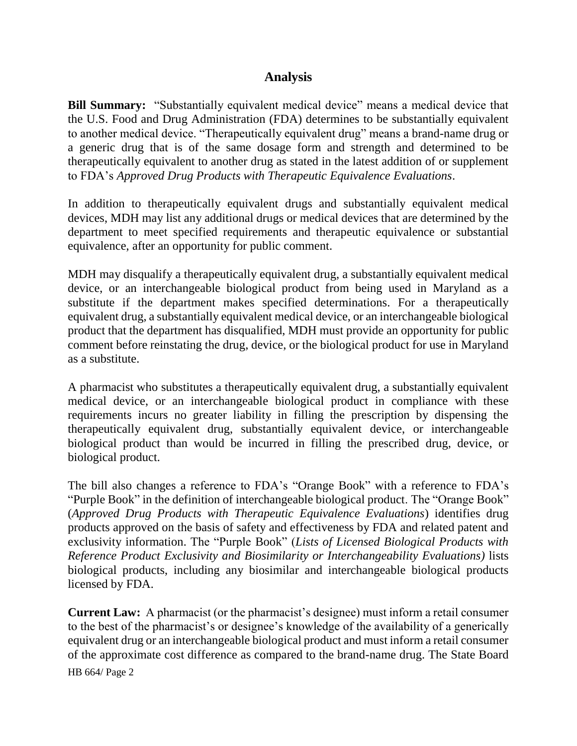### **Analysis**

**Bill Summary:** "Substantially equivalent medical device" means a medical device that the U.S. Food and Drug Administration (FDA) determines to be substantially equivalent to another medical device. "Therapeutically equivalent drug" means a brand-name drug or a generic drug that is of the same dosage form and strength and determined to be therapeutically equivalent to another drug as stated in the latest addition of or supplement to FDA's *Approved Drug Products with Therapeutic Equivalence Evaluations*.

In addition to therapeutically equivalent drugs and substantially equivalent medical devices, MDH may list any additional drugs or medical devices that are determined by the department to meet specified requirements and therapeutic equivalence or substantial equivalence, after an opportunity for public comment.

MDH may disqualify a therapeutically equivalent drug, a substantially equivalent medical device, or an interchangeable biological product from being used in Maryland as a substitute if the department makes specified determinations. For a therapeutically equivalent drug, a substantially equivalent medical device, or an interchangeable biological product that the department has disqualified, MDH must provide an opportunity for public comment before reinstating the drug, device, or the biological product for use in Maryland as a substitute.

A pharmacist who substitutes a therapeutically equivalent drug, a substantially equivalent medical device, or an interchangeable biological product in compliance with these requirements incurs no greater liability in filling the prescription by dispensing the therapeutically equivalent drug, substantially equivalent device, or interchangeable biological product than would be incurred in filling the prescribed drug, device, or biological product.

The bill also changes a reference to FDA's "Orange Book" with a reference to FDA's "Purple Book" in the definition of interchangeable biological product. The "Orange Book" (*Approved Drug Products with Therapeutic Equivalence Evaluations*) identifies drug products approved on the basis of safety and effectiveness by FDA and related patent and exclusivity information. The "Purple Book" (*Lists of Licensed Biological Products with Reference Product Exclusivity and Biosimilarity or Interchangeability Evaluations)* lists biological products, including any biosimilar and interchangeable biological products licensed by FDA.

HB 664/ Page 2 **Current Law:** A pharmacist (or the pharmacist's designee) must inform a retail consumer to the best of the pharmacist's or designee's knowledge of the availability of a generically equivalent drug or an interchangeable biological product and must inform a retail consumer of the approximate cost difference as compared to the brand-name drug. The State Board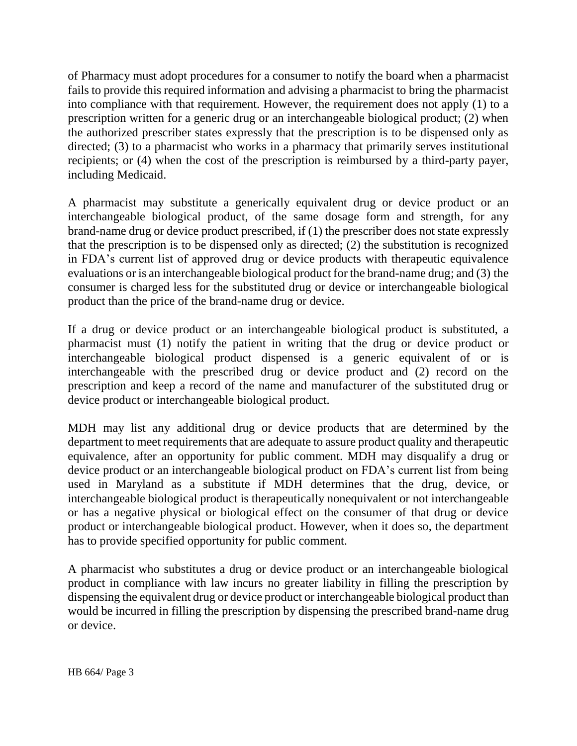of Pharmacy must adopt procedures for a consumer to notify the board when a pharmacist fails to provide this required information and advising a pharmacist to bring the pharmacist into compliance with that requirement. However, the requirement does not apply (1) to a prescription written for a generic drug or an interchangeable biological product; (2) when the authorized prescriber states expressly that the prescription is to be dispensed only as directed; (3) to a pharmacist who works in a pharmacy that primarily serves institutional recipients; or (4) when the cost of the prescription is reimbursed by a third-party payer, including Medicaid.

A pharmacist may substitute a generically equivalent drug or device product or an interchangeable biological product, of the same dosage form and strength, for any brand-name drug or device product prescribed, if (1) the prescriber does not state expressly that the prescription is to be dispensed only as directed; (2) the substitution is recognized in FDA's current list of approved drug or device products with therapeutic equivalence evaluations or is an interchangeable biological product for the brand-name drug; and (3) the consumer is charged less for the substituted drug or device or interchangeable biological product than the price of the brand-name drug or device.

If a drug or device product or an interchangeable biological product is substituted, a pharmacist must (1) notify the patient in writing that the drug or device product or interchangeable biological product dispensed is a generic equivalent of or is interchangeable with the prescribed drug or device product and (2) record on the prescription and keep a record of the name and manufacturer of the substituted drug or device product or interchangeable biological product.

MDH may list any additional drug or device products that are determined by the department to meet requirements that are adequate to assure product quality and therapeutic equivalence, after an opportunity for public comment. MDH may disqualify a drug or device product or an interchangeable biological product on FDA's current list from being used in Maryland as a substitute if MDH determines that the drug, device, or interchangeable biological product is therapeutically nonequivalent or not interchangeable or has a negative physical or biological effect on the consumer of that drug or device product or interchangeable biological product. However, when it does so, the department has to provide specified opportunity for public comment.

A pharmacist who substitutes a drug or device product or an interchangeable biological product in compliance with law incurs no greater liability in filling the prescription by dispensing the equivalent drug or device product or interchangeable biological product than would be incurred in filling the prescription by dispensing the prescribed brand-name drug or device.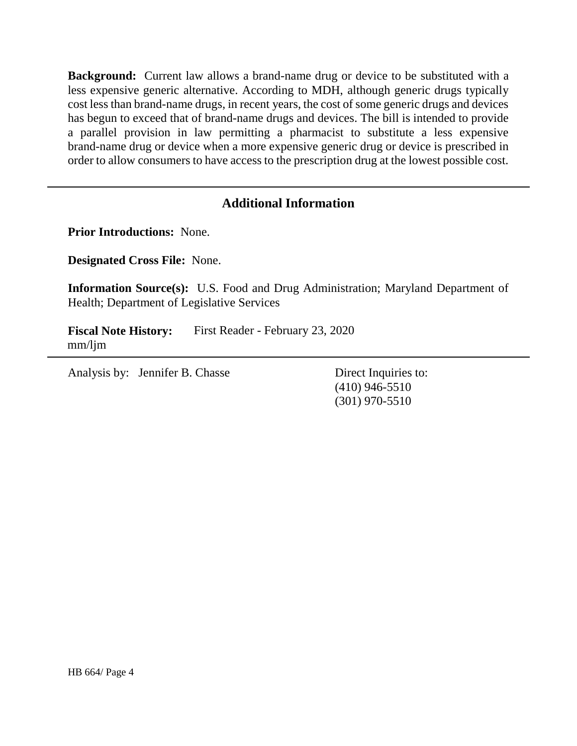**Background:** Current law allows a brand-name drug or device to be substituted with a less expensive generic alternative. According to MDH, although generic drugs typically cost less than brand-name drugs, in recent years, the cost of some generic drugs and devices has begun to exceed that of brand-name drugs and devices. The bill is intended to provide a parallel provision in law permitting a pharmacist to substitute a less expensive brand-name drug or device when a more expensive generic drug or device is prescribed in order to allow consumers to have access to the prescription drug at the lowest possible cost.

### **Additional Information**

**Prior Introductions:** None.

**Designated Cross File:** None.

**Information Source(s):** U.S. Food and Drug Administration; Maryland Department of Health; Department of Legislative Services

**Fiscal Note History:** First Reader - February 23, 2020 mm/ljm

Analysis by: Jennifer B. Chasse Direct Inquiries to:

(410) 946-5510 (301) 970-5510